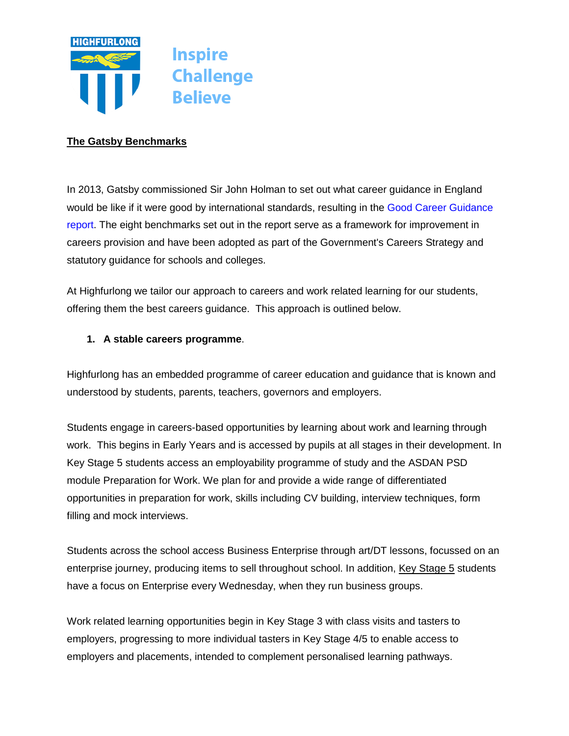

### **The Gatsby Benchmarks**

In 2013, Gatsby commissioned Sir John Holman to set out what career guidance in England would be like if it were good by international standards, resulting in the [Good Career Guidance](https://www.gatsby.org.uk/uploads/education/reports/pdf/gatsby-sir-john-holman-good-career-guidance-2014.pdf)  [report.](https://www.gatsby.org.uk/uploads/education/reports/pdf/gatsby-sir-john-holman-good-career-guidance-2014.pdf) The eight benchmarks set out in the report serve as a framework for improvement in careers provision and have been adopted as part of the Government's Careers Strategy and statutory guidance for schools and colleges.

At Highfurlong we tailor our approach to careers and work related learning for our students, offering them the best careers guidance. This approach is outlined below.

### **1. A stable careers programme**.

Highfurlong has an embedded programme of career education and guidance that is known and understood by students, parents, teachers, governors and employers.

Students engage in careers-based opportunities by learning about work and learning through work. This begins in Early Years and is accessed by pupils at all stages in their development. In Key Stage 5 students access an employability programme of study and the ASDAN PSD module Preparation for Work. We plan for and provide a wide range of differentiated opportunities in preparation for work, skills including CV building, interview techniques, form filling and mock interviews.

Students across the school access Business Enterprise through art/DT lessons, focussed on an enterprise journey, producing items to sell throughout school. In addition, Key [Stage](https://highfurlong.org/key-stage-5/) 5 students have a focus on Enterprise every Wednesday, when they run business groups.

Work related learning opportunities begin in Key Stage 3 with class visits and tasters to employers, progressing to more individual tasters in Key Stage 4/5 to enable access to employers and placements, intended to complement personalised learning pathways.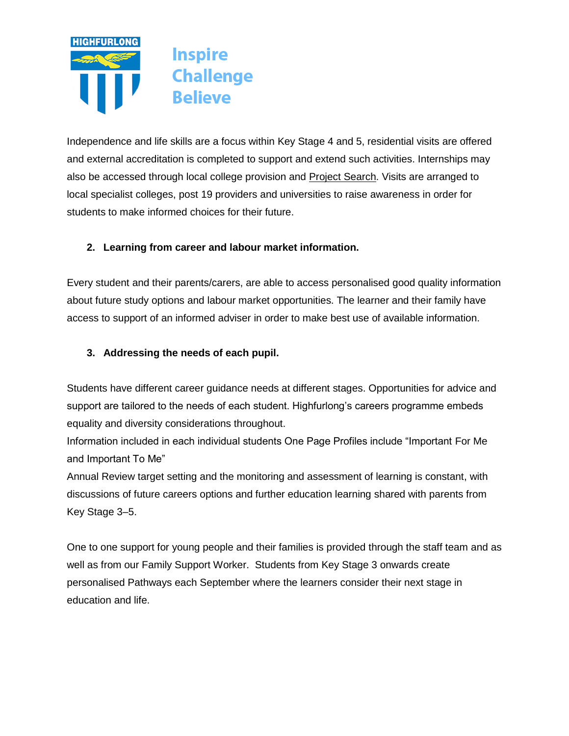

Independence and life skills are a focus within Key Stage 4 and 5, residential visits are offered and external accreditation is completed to support and extend such activities. Internships may also be accessed through local college provision and Project [Search.](https://www.preparingforadulthood.org.uk/downloads/supported-internships/project-search-a-model-for-supported-internships.htm) Visits are arranged to local specialist colleges, post 19 providers and universities to raise awareness in order for students to make informed choices for their future.

# **2. Learning from career and labour market information.**

Every student and their parents/carers, are able to access personalised good quality information about future study options and labour market opportunities. The learner and their family have access to support of an informed adviser in order to make best use of available information.

## **3. Addressing the needs of each pupil.**

Students have different career guidance needs at different stages. Opportunities for advice and support are tailored to the needs of each student. Highfurlong's careers programme embeds equality and diversity considerations throughout.

Information included in each individual students One Page Profiles include "Important For Me and Important To Me"

Annual Review target setting and the monitoring and assessment of learning is constant, with discussions of future careers options and further education learning shared with parents from Key Stage 3–5.

One to one support for young people and their families is provided through the staff team and as well as from our Family Support Worker. Students from Key Stage 3 onwards create personalised Pathways each September where the learners consider their next stage in education and life.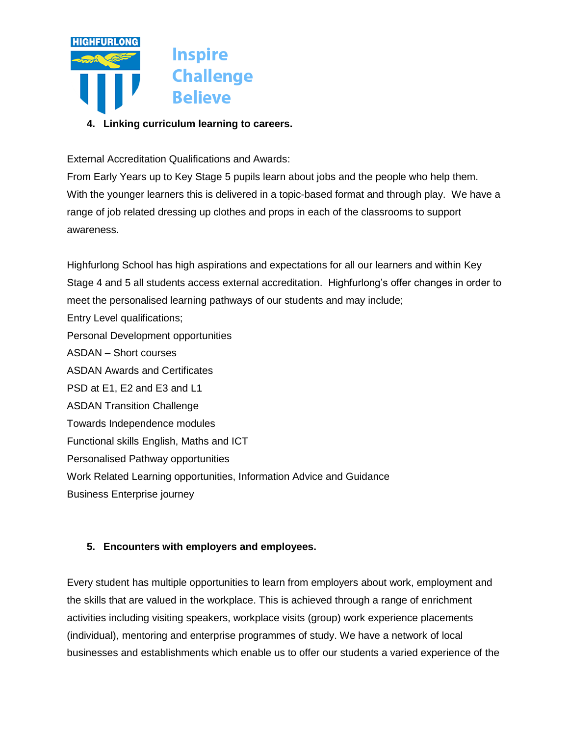

**4. Linking curriculum learning to careers.**

External Accreditation Qualifications and Awards:

From Early Years up to Key Stage 5 pupils learn about jobs and the people who help them. With the younger learners this is delivered in a topic-based format and through play. We have a range of job related dressing up clothes and props in each of the classrooms to support awareness.

Highfurlong School has high aspirations and expectations for all our learners and within Key Stage 4 and 5 all students access external accreditation. Highfurlong's offer changes in order to meet the personalised learning pathways of our students and may include; Entry Level qualifications; Personal Development opportunities ASDAN – Short courses ASDAN Awards and Certificates PSD at E1, E2 and E3 and L1 ASDAN Transition Challenge Towards Independence modules Functional skills English, Maths and ICT Personalised Pathway opportunities Work Related Learning opportunities, Information Advice and Guidance Business Enterprise journey

### **5. Encounters with employers and employees.**

Every student has multiple opportunities to learn from employers about work, employment and the skills that are valued in the workplace. This is achieved through a range of enrichment activities including visiting speakers, workplace visits (group) work experience placements (individual), mentoring and enterprise programmes of study. We have a network of local businesses and establishments which enable us to offer our students a varied experience of the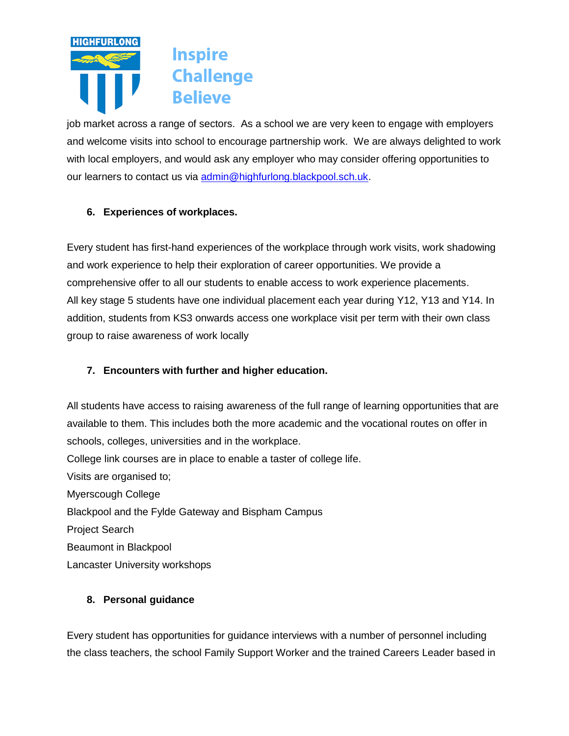

job market across a range of sectors. As a school we are very keen to engage with employers and welcome visits into school to encourage partnership work. We are always delighted to work with local employers, and would ask any employer who may consider offering opportunities to our learners to contact us via [admin@highfurlong.blackpool.sch.uk.](mailto:admin@highfurlong.blackpool.sch.uk)

## **6. Experiences of workplaces.**

Every student has first-hand experiences of the workplace through work visits, work shadowing and work experience to help their exploration of career opportunities. We provide a comprehensive offer to all our students to enable access to work experience placements. All key stage 5 students have one individual placement each year during Y12, Y13 and Y14. In addition, students from KS3 onwards access one workplace visit per term with their own class group to raise awareness of work locally

# **7. Encounters with further and higher education.**

All students have access to raising awareness of the full range of learning opportunities that are available to them. This includes both the more academic and the vocational routes on offer in schools, colleges, universities and in the workplace.

College link courses are in place to enable a taster of college life.

Visits are organised to; Myerscough College Blackpool and the Fylde Gateway and Bispham Campus Project Search Beaumont in Blackpool Lancaster University workshops

### **8. Personal guidance**

Every student has opportunities for guidance interviews with a number of personnel including the class teachers, the school Family Support Worker and the trained Careers Leader based in